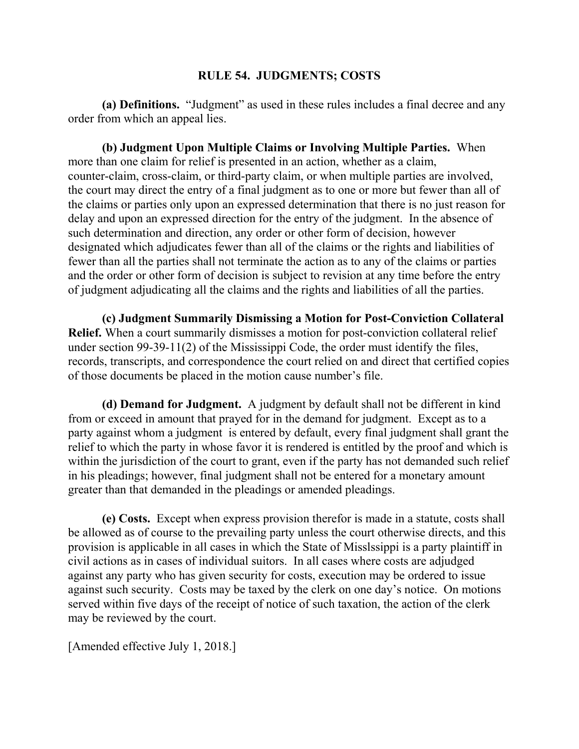## **RULE 54. JUDGMENTS; COSTS**

**(a) Definitions.** "Judgment" as used in these rules includes a final decree and any order from which an appeal lies.

**(b) Judgment Upon Multiple Claims or Involving Multiple Parties.** When more than one claim for relief is presented in an action, whether as a claim, counter-claim, cross-claim, or third-party claim, or when multiple parties are involved, the court may direct the entry of a final judgment as to one or more but fewer than all of the claims or parties only upon an expressed determination that there is no just reason for delay and upon an expressed direction for the entry of the judgment. In the absence of such determination and direction, any order or other form of decision, however designated which adjudicates fewer than all of the claims or the rights and liabilities of fewer than all the parties shall not terminate the action as to any of the claims or parties and the order or other form of decision is subject to revision at any time before the entry of judgment adjudicating all the claims and the rights and liabilities of all the parties.

**(c) Judgment Summarily Dismissing a Motion for Post-Conviction Collateral Relief.** When a court summarily dismisses a motion for post-conviction collateral relief under section 99-39-11(2) of the Mississippi Code, the order must identify the files, records, transcripts, and correspondence the court relied on and direct that certified copies of those documents be placed in the motion cause number's file.

**(d) Demand for Judgment.** A judgment by default shall not be different in kind from or exceed in amount that prayed for in the demand for judgment. Except as to a party against whom a judgment is entered by default, every final judgment shall grant the relief to which the party in whose favor it is rendered is entitled by the proof and which is within the jurisdiction of the court to grant, even if the party has not demanded such relief in his pleadings; however, final judgment shall not be entered for a monetary amount greater than that demanded in the pleadings or amended pleadings.

**(e) Costs.** Except when express provision therefor is made in a statute, costs shall be allowed as of course to the prevailing party unless the court otherwise directs, and this provision is applicable in all cases in which the State of Misslssippi is a party plaintiff in civil actions as in cases of individual suitors. In all cases where costs are adjudged against any party who has given security for costs, execution may be ordered to issue against such security. Costs may be taxed by the clerk on one day's notice. On motions served within five days of the receipt of notice of such taxation, the action of the clerk may be reviewed by the court.

[Amended effective July 1, 2018.]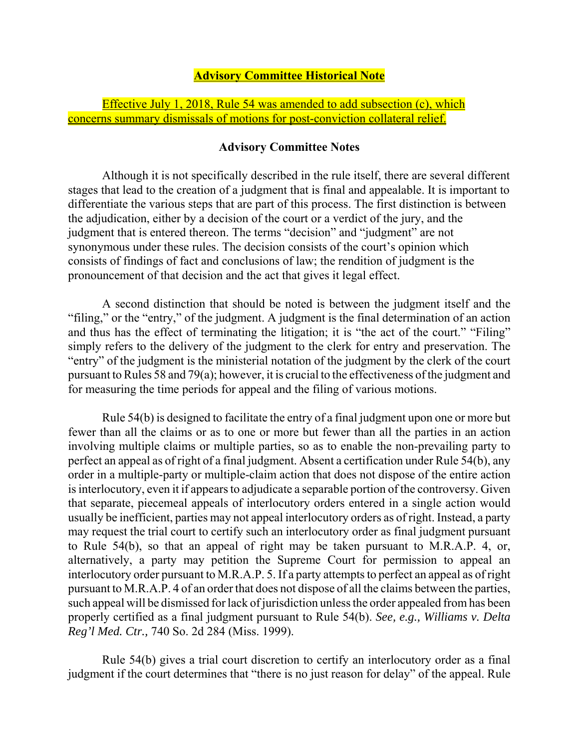## **Advisory Committee Historical Note**

Effective July 1, 2018, Rule 54 was amended to add subsection (c), which concerns summary dismissals of motions for post-conviction collateral relief.

## **Advisory Committee Notes**

Although it is not specifically described in the rule itself, there are several different stages that lead to the creation of a judgment that is final and appealable. It is important to differentiate the various steps that are part of this process. The first distinction is between the adjudication, either by a decision of the court or a verdict of the jury, and the judgment that is entered thereon. The terms "decision" and "judgment" are not synonymous under these rules. The decision consists of the court's opinion which consists of findings of fact and conclusions of law; the rendition of judgment is the pronouncement of that decision and the act that gives it legal effect.

A second distinction that should be noted is between the judgment itself and the "filing," or the "entry," of the judgment. A judgment is the final determination of an action and thus has the effect of terminating the litigation; it is "the act of the court." "Filing" simply refers to the delivery of the judgment to the clerk for entry and preservation. The "entry" of the judgment is the ministerial notation of the judgment by the clerk of the court pursuant to Rules 58 and 79(a); however, it is crucial to the effectiveness of the judgment and for measuring the time periods for appeal and the filing of various motions.

Rule 54(b) is designed to facilitate the entry of a final judgment upon one or more but fewer than all the claims or as to one or more but fewer than all the parties in an action involving multiple claims or multiple parties, so as to enable the non-prevailing party to perfect an appeal as of right of a final judgment. Absent a certification under Rule 54(b), any order in a multiple-party or multiple-claim action that does not dispose of the entire action is interlocutory, even it if appears to adjudicate a separable portion of the controversy. Given that separate, piecemeal appeals of interlocutory orders entered in a single action would usually be inefficient, parties may not appeal interlocutory orders as of right. Instead, a party may request the trial court to certify such an interlocutory order as final judgment pursuant to Rule 54(b), so that an appeal of right may be taken pursuant to M.R.A.P. 4, or, alternatively, a party may petition the Supreme Court for permission to appeal an interlocutory order pursuant to M.R.A.P. 5. If a party attempts to perfect an appeal as of right pursuant to M.R.A.P. 4 of an order that does not dispose of all the claims between the parties, such appeal will be dismissed for lack of jurisdiction unless the order appealed from has been properly certified as a final judgment pursuant to Rule 54(b). *See, e.g., Williams v. Delta Reg'l Med. Ctr.,* 740 So. 2d 284 (Miss. 1999).

Rule 54(b) gives a trial court discretion to certify an interlocutory order as a final judgment if the court determines that "there is no just reason for delay" of the appeal. Rule